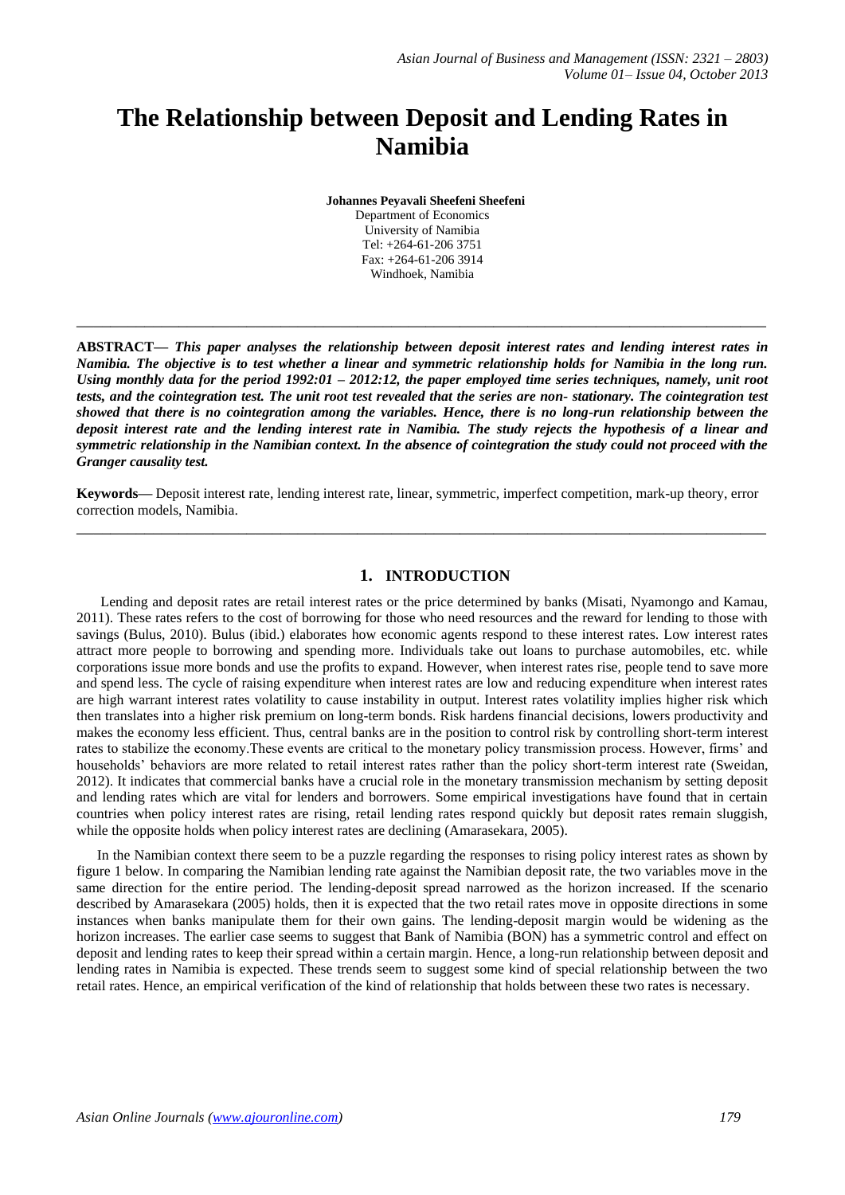# **The Relationship between Deposit and Lending Rates in Namibia**

**Johannes Peyavali Sheefeni Sheefeni**

Department of Economics University of Namibia Tel: +264-61-206 3751 Fax: +264-61-206 3914 Windhoek, Namibia

**\_\_\_\_\_\_\_\_\_\_\_\_\_\_\_\_\_\_\_\_\_\_\_\_\_\_\_\_\_\_\_\_\_\_\_\_\_\_\_\_\_\_\_\_\_\_\_\_\_\_\_\_\_\_\_\_\_\_\_\_\_\_\_\_\_\_\_\_\_\_\_\_\_\_\_\_\_\_\_\_\_**

**ABSTRACT—** *This paper analyses the relationship between deposit interest rates and lending interest rates in Namibia. The objective is to test whether a linear and symmetric relationship holds for Namibia in the long run. Using monthly data for the period 1992:01 – 2012:12, the paper employed time series techniques, namely, unit root tests, and the cointegration test. The unit root test revealed that the series are non- stationary. The cointegration test showed that there is no cointegration among the variables. Hence, there is no long-run relationship between the deposit interest rate and the lending interest rate in Namibia. The study rejects the hypothesis of a linear and symmetric relationship in the Namibian context. In the absence of cointegration the study could not proceed with the Granger causality test.* 

**Keywords—** Deposit interest rate, lending interest rate, linear, symmetric, imperfect competition, mark-up theory, error correction models, Namibia. **\_\_\_\_\_\_\_\_\_\_\_\_\_\_\_\_\_\_\_\_\_\_\_\_\_\_\_\_\_\_\_\_\_\_\_\_\_\_\_\_\_\_\_\_\_\_\_\_\_\_\_\_\_\_\_\_\_\_\_\_\_\_\_\_\_\_\_\_\_\_\_\_\_\_\_\_\_\_\_\_\_**

### **1. INTRODUCTION**

Lending and deposit rates are retail interest rates or the price determined by banks (Misati, Nyamongo and Kamau, 2011). These rates refers to the cost of borrowing for those who need resources and the reward for lending to those with savings (Bulus, 2010). Bulus (ibid.) elaborates how economic agents respond to these interest rates. Low interest rates attract more people to borrowing and spending more. Individuals take out loans to purchase automobiles, etc. while corporations issue more bonds and use the profits to expand. However, when interest rates rise, people tend to save more and spend less. The cycle of raising expenditure when interest rates are low and reducing expenditure when interest rates are high warrant interest rates volatility to cause instability in output. Interest rates volatility implies higher risk which then translates into a higher risk premium on long-term bonds. Risk hardens financial decisions, lowers productivity and makes the economy less efficient. Thus, central banks are in the position to control risk by controlling short-term interest rates to stabilize the economy.These events are critical to the monetary policy transmission process. However, firms' and households' behaviors are more related to retail interest rates rather than the policy short-term interest rate (Sweidan, 2012). It indicates that commercial banks have a crucial role in the monetary transmission mechanism by setting deposit and lending rates which are vital for lenders and borrowers. Some empirical investigations have found that in certain countries when policy interest rates are rising, retail lending rates respond quickly but deposit rates remain sluggish, while the opposite holds when policy interest rates are declining (Amarasekara, 2005).

In the Namibian context there seem to be a puzzle regarding the responses to rising policy interest rates as shown by figure 1 below. In comparing the Namibian lending rate against the Namibian deposit rate, the two variables move in the same direction for the entire period. The lending-deposit spread narrowed as the horizon increased. If the scenario described by Amarasekara (2005) holds, then it is expected that the two retail rates move in opposite directions in some instances when banks manipulate them for their own gains. The lending-deposit margin would be widening as the horizon increases. The earlier case seems to suggest that Bank of Namibia (BON) has a symmetric control and effect on deposit and lending rates to keep their spread within a certain margin. Hence, a long-run relationship between deposit and lending rates in Namibia is expected. These trends seem to suggest some kind of special relationship between the two retail rates. Hence, an empirical verification of the kind of relationship that holds between these two rates is necessary.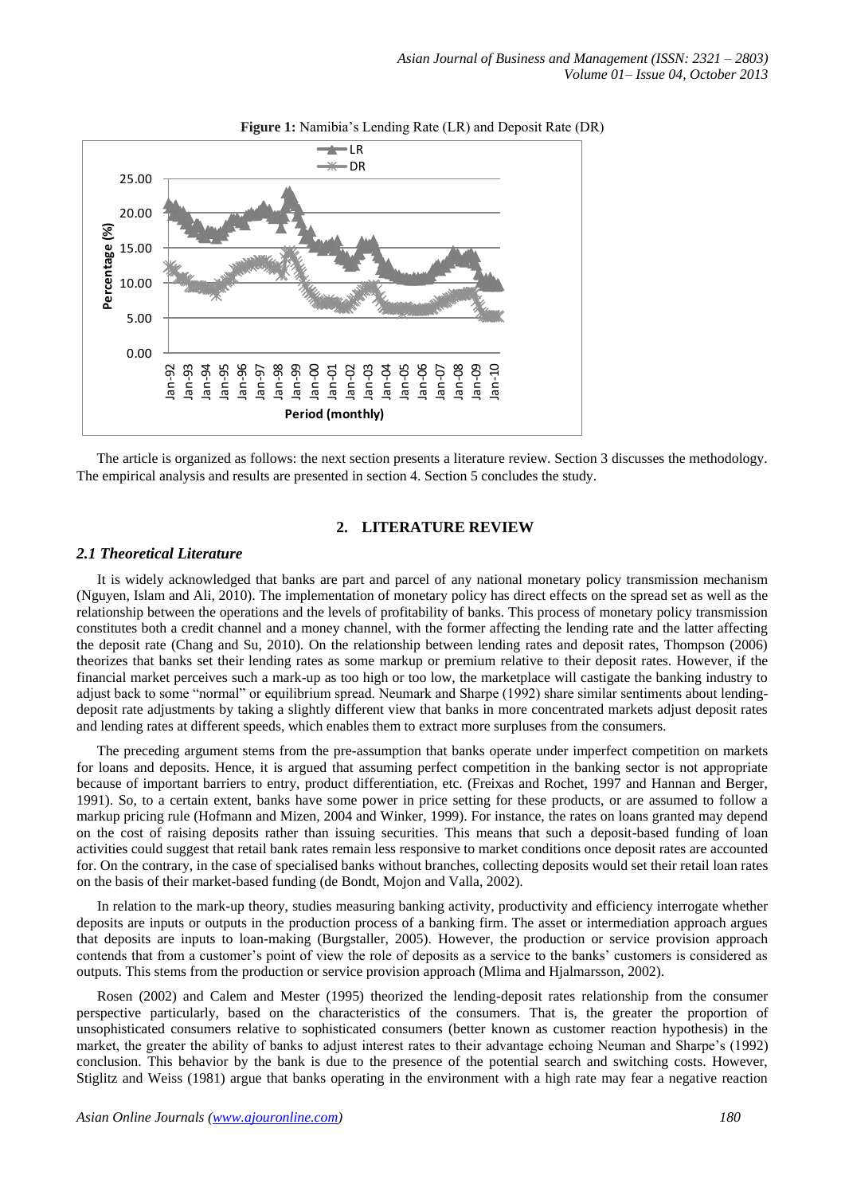

#### **Figure 1:** Namibia's Lending Rate (LR) and Deposit Rate (DR)

The article is organized as follows: the next section presents a literature review. Section 3 discusses the methodology. The empirical analysis and results are presented in section 4. Section 5 concludes the study.

# **2. LITERATURE REVIEW**

# *2.1 Theoretical Literature*

It is widely acknowledged that banks are part and parcel of any national monetary policy transmission mechanism (Nguyen, Islam and Ali, 2010). The implementation of monetary policy has direct effects on the spread set as well as the relationship between the operations and the levels of profitability of banks. This process of monetary policy transmission constitutes both a credit channel and a money channel, with the former affecting the lending rate and the latter affecting the deposit rate (Chang and Su, 2010). On the relationship between lending rates and deposit rates, Thompson (2006) theorizes that banks set their lending rates as some markup or premium relative to their deposit rates. However, if the financial market perceives such a mark-up as too high or too low, the marketplace will castigate the banking industry to adjust back to some "normal" or equilibrium spread. Neumark and Sharpe (1992) share similar sentiments about lendingdeposit rate adjustments by taking a slightly different view that banks in more concentrated markets adjust deposit rates and lending rates at different speeds, which enables them to extract more surpluses from the consumers.

The preceding argument stems from the pre-assumption that banks operate under imperfect competition on markets for loans and deposits. Hence, it is argued that assuming perfect competition in the banking sector is not appropriate because of important barriers to entry, product differentiation, etc. (Freixas and Rochet, 1997 and Hannan and Berger, 1991). So, to a certain extent, banks have some power in price setting for these products, or are assumed to follow a markup pricing rule (Hofmann and Mizen, 2004 and Winker, 1999). For instance, the rates on loans granted may depend on the cost of raising deposits rather than issuing securities. This means that such a deposit-based funding of loan activities could suggest that retail bank rates remain less responsive to market conditions once deposit rates are accounted for. On the contrary, in the case of specialised banks without branches, collecting deposits would set their retail loan rates on the basis of their market-based funding (de Bondt, Mojon and Valla, 2002).

In relation to the mark-up theory, studies measuring banking activity, productivity and efficiency interrogate whether deposits are inputs or outputs in the production process of a banking firm. The asset or intermediation approach argues that deposits are inputs to loan-making (Burgstaller, 2005). However, the production or service provision approach contends that from a customer's point of view the role of deposits as a service to the banks' customers is considered as outputs. This stems from the production or service provision approach (Mlima and Hjalmarsson, 2002).

Rosen (2002) and Calem and Mester (1995) theorized the lending-deposit rates relationship from the consumer perspective particularly, based on the characteristics of the consumers. That is, the greater the proportion of unsophisticated consumers relative to sophisticated consumers (better known as customer reaction hypothesis) in the market, the greater the ability of banks to adjust interest rates to their advantage echoing Neuman and Sharpe's (1992) conclusion. This behavior by the bank is due to the presence of the potential search and switching costs. However, Stiglitz and Weiss (1981) argue that banks operating in the environment with a high rate may fear a negative reaction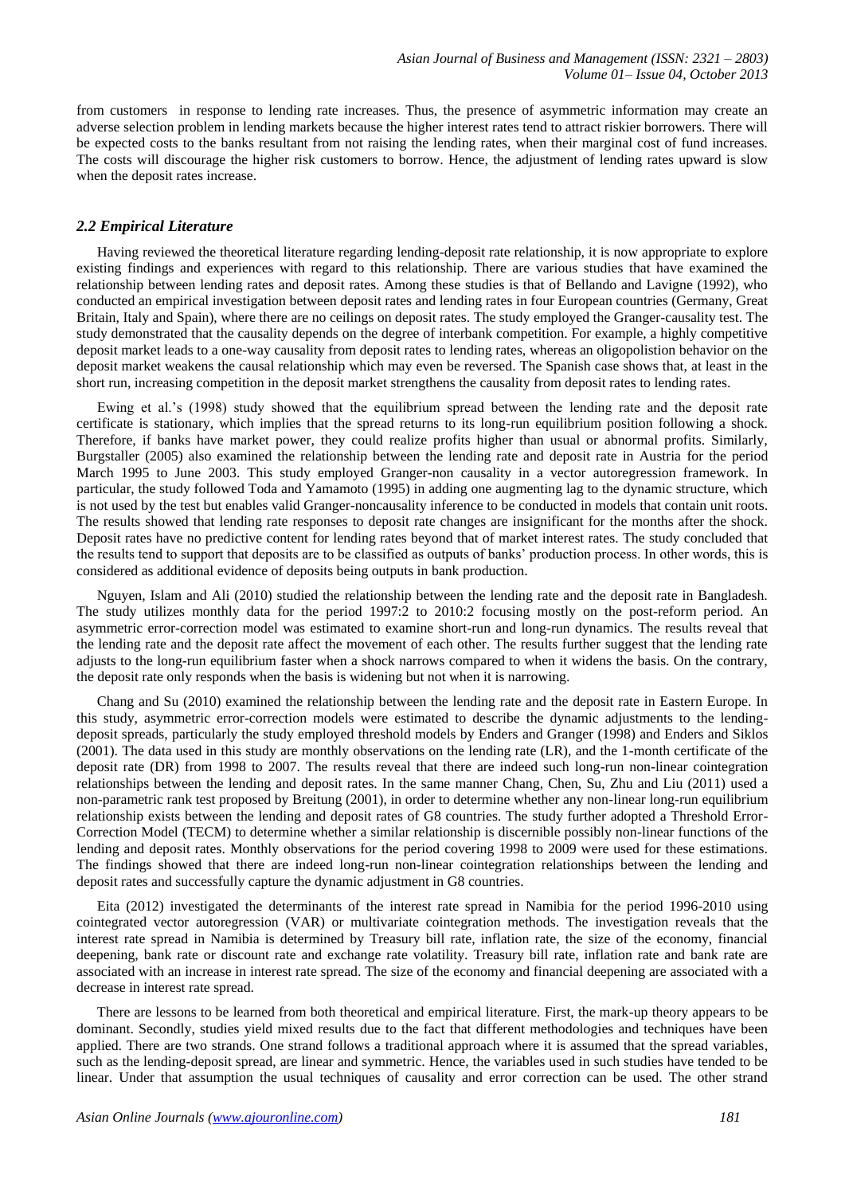from customers in response to lending rate increases. Thus, the presence of asymmetric information may create an adverse selection problem in lending markets because the higher interest rates tend to attract riskier borrowers. There will be expected costs to the banks resultant from not raising the lending rates, when their marginal cost of fund increases. The costs will discourage the higher risk customers to borrow. Hence, the adjustment of lending rates upward is slow when the deposit rates increase.

#### *2.2 Empirical Literature*

Having reviewed the theoretical literature regarding lending-deposit rate relationship, it is now appropriate to explore existing findings and experiences with regard to this relationship. There are various studies that have examined the relationship between lending rates and deposit rates. Among these studies is that of Bellando and Lavigne (1992), who conducted an empirical investigation between deposit rates and lending rates in four European countries (Germany, Great Britain, Italy and Spain), where there are no ceilings on deposit rates. The study employed the Granger-causality test. The study demonstrated that the causality depends on the degree of interbank competition. For example, a highly competitive deposit market leads to a one-way causality from deposit rates to lending rates, whereas an oligopolistion behavior on the deposit market weakens the causal relationship which may even be reversed. The Spanish case shows that, at least in the short run, increasing competition in the deposit market strengthens the causality from deposit rates to lending rates.

Ewing et al.'s (1998) study showed that the equilibrium spread between the lending rate and the deposit rate certificate is stationary, which implies that the spread returns to its long-run equilibrium position following a shock. Therefore, if banks have market power, they could realize profits higher than usual or abnormal profits. Similarly, Burgstaller (2005) also examined the relationship between the lending rate and deposit rate in Austria for the period March 1995 to June 2003. This study employed Granger-non causality in a vector autoregression framework. In particular, the study followed Toda and Yamamoto (1995) in adding one augmenting lag to the dynamic structure, which is not used by the test but enables valid Granger-noncausality inference to be conducted in models that contain unit roots. The results showed that lending rate responses to deposit rate changes are insignificant for the months after the shock. Deposit rates have no predictive content for lending rates beyond that of market interest rates. The study concluded that the results tend to support that deposits are to be classified as outputs of banks' production process. In other words, this is considered as additional evidence of deposits being outputs in bank production.

Nguyen, Islam and Ali (2010) studied the relationship between the lending rate and the deposit rate in Bangladesh. The study utilizes monthly data for the period 1997:2 to 2010:2 focusing mostly on the post-reform period. An asymmetric error-correction model was estimated to examine short-run and long-run dynamics. The results reveal that the lending rate and the deposit rate affect the movement of each other. The results further suggest that the lending rate adjusts to the long-run equilibrium faster when a shock narrows compared to when it widens the basis. On the contrary, the deposit rate only responds when the basis is widening but not when it is narrowing.

Chang and Su (2010) examined the relationship between the lending rate and the deposit rate in Eastern Europe. In this study, asymmetric error-correction models were estimated to describe the dynamic adjustments to the lendingdeposit spreads, particularly the study employed threshold models by Enders and Granger (1998) and Enders and Siklos (2001). The data used in this study are monthly observations on the lending rate (LR), and the 1-month certificate of the deposit rate (DR) from 1998 to 2007. The results reveal that there are indeed such long-run non-linear cointegration relationships between the lending and deposit rates. In the same manner Chang, Chen, Su, Zhu and Liu (2011) used a non-parametric rank test proposed by Breitung (2001), in order to determine whether any non-linear long-run equilibrium relationship exists between the lending and deposit rates of G8 countries. The study further adopted a Threshold Error-Correction Model (TECM) to determine whether a similar relationship is discernible possibly non-linear functions of the lending and deposit rates. Monthly observations for the period covering 1998 to 2009 were used for these estimations. The findings showed that there are indeed long-run non-linear cointegration relationships between the lending and deposit rates and successfully capture the dynamic adjustment in G8 countries.

Eita (2012) investigated the determinants of the interest rate spread in Namibia for the period 1996-2010 using cointegrated vector autoregression (VAR) or multivariate cointegration methods. The investigation reveals that the interest rate spread in Namibia is determined by Treasury bill rate, inflation rate, the size of the economy, financial deepening, bank rate or discount rate and exchange rate volatility. Treasury bill rate, inflation rate and bank rate are associated with an increase in interest rate spread. The size of the economy and financial deepening are associated with a decrease in interest rate spread.

There are lessons to be learned from both theoretical and empirical literature. First, the mark-up theory appears to be dominant. Secondly, studies yield mixed results due to the fact that different methodologies and techniques have been applied. There are two strands. One strand follows a traditional approach where it is assumed that the spread variables, such as the lending-deposit spread, are linear and symmetric. Hence, the variables used in such studies have tended to be linear. Under that assumption the usual techniques of causality and error correction can be used. The other strand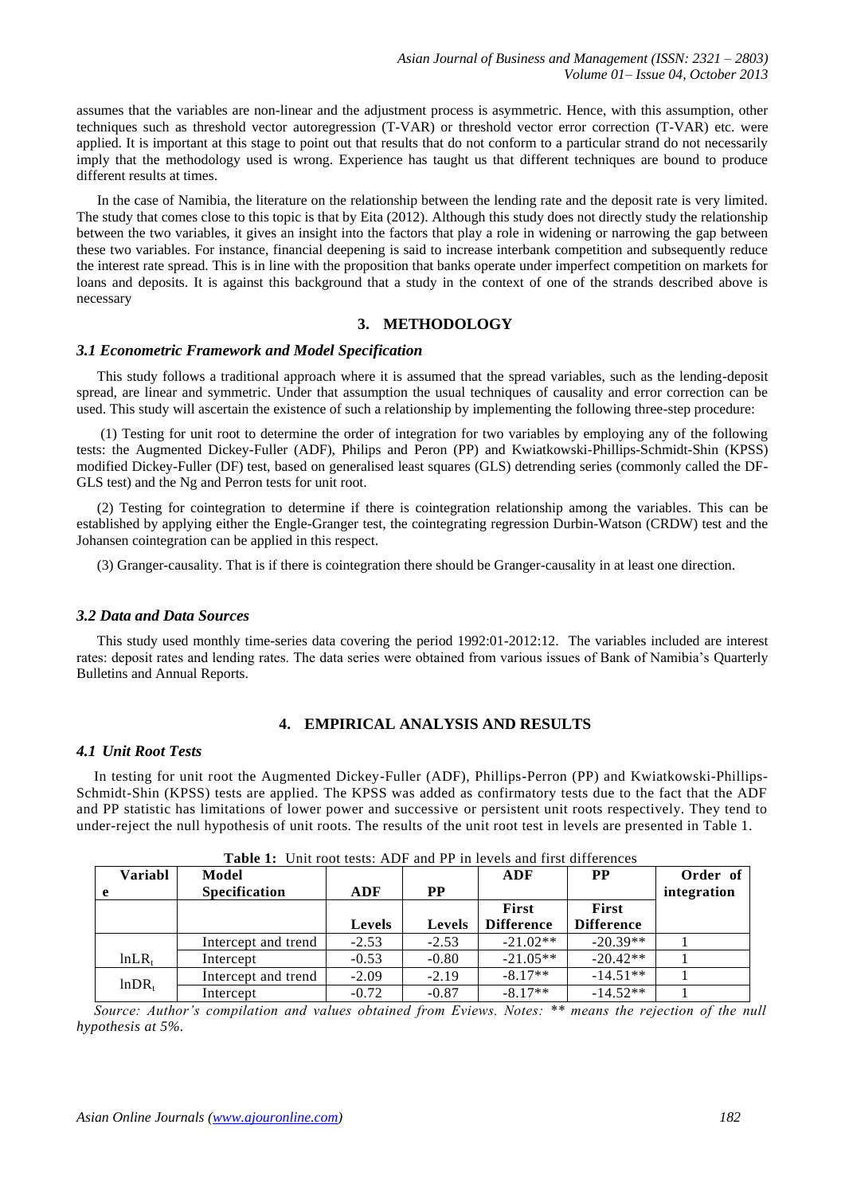assumes that the variables are non-linear and the adjustment process is asymmetric. Hence, with this assumption, other techniques such as threshold vector autoregression (T-VAR) or threshold vector error correction (T-VAR) etc. were applied. It is important at this stage to point out that results that do not conform to a particular strand do not necessarily imply that the methodology used is wrong. Experience has taught us that different techniques are bound to produce different results at times.

In the case of Namibia, the literature on the relationship between the lending rate and the deposit rate is very limited. The study that comes close to this topic is that by Eita (2012). Although this study does not directly study the relationship between the two variables, it gives an insight into the factors that play a role in widening or narrowing the gap between these two variables. For instance, financial deepening is said to increase interbank competition and subsequently reduce the interest rate spread. This is in line with the proposition that banks operate under imperfect competition on markets for loans and deposits. It is against this background that a study in the context of one of the strands described above is necessary

## **3. METHODOLOGY**

#### *3.1 Econometric Framework and Model Specification*

This study follows a traditional approach where it is assumed that the spread variables, such as the lending-deposit spread, are linear and symmetric. Under that assumption the usual techniques of causality and error correction can be used. This study will ascertain the existence of such a relationship by implementing the following three-step procedure:

(1) Testing for unit root to determine the order of integration for two variables by employing any of the following tests: the Augmented Dickey-Fuller (ADF), Philips and Peron (PP) and Kwiatkowski-Phillips-Schmidt-Shin (KPSS) modified Dickey-Fuller (DF) test, based on generalised least squares (GLS) detrending series (commonly called the DF-GLS test) and the Ng and Perron tests for unit root.

(2) Testing for cointegration to determine if there is cointegration relationship among the variables. This can be established by applying either the Engle-Granger test, the cointegrating regression Durbin-Watson (CRDW) test and the Johansen cointegration can be applied in this respect.

(3) Granger-causality. That is if there is cointegration there should be Granger-causality in at least one direction.

## *3.2 Data and Data Sources*

This study used monthly time-series data covering the period 1992:01-2012:12. The variables included are interest rates: deposit rates and lending rates. The data series were obtained from various issues of Bank of Namibia's Quarterly Bulletins and Annual Reports.

## **4. EMPIRICAL ANALYSIS AND RESULTS**

# *4.1 Unit Root Tests*

In testing for unit root the Augmented Dickey-Fuller (ADF), Phillips-Perron (PP) and Kwiatkowski-Phillips-Schmidt-Shin (KPSS) tests are applied. The KPSS was added as confirmatory tests due to the fact that the ADF and PP statistic has limitations of lower power and successive or persistent unit roots respectively. They tend to under-reject the null hypothesis of unit roots. The results of the unit root test in levels are presented in Table 1.

| <b>Variabl</b>    | Model                |               |               | ADF               | <b>PP</b>         | Order of    |
|-------------------|----------------------|---------------|---------------|-------------------|-------------------|-------------|
| e                 | <b>Specification</b> | <b>ADF</b>    | <b>PP</b>     |                   |                   | integration |
|                   |                      |               |               | <b>First</b>      | <b>First</b>      |             |
|                   |                      | <b>Levels</b> | <b>Levels</b> | <b>Difference</b> | <b>Difference</b> |             |
|                   | Intercept and trend  | $-2.53$       | $-2.53$       | $-21.02**$        | $-20.39**$        |             |
| $lnLR_t$          | Intercept            | $-0.53$       | $-0.80$       | $-21.05**$        | $-20.42**$        |             |
|                   | Intercept and trend  | $-2.09$       | $-2.19$       | $-8.17**$         | $-14.51**$        |             |
| lnDR <sub>t</sub> | Intercept            | $-0.72$       | $-0.87$       | $-8.17**$         | $-14.52**$        |             |

|  |  |  |  | <b>Table 1:</b> Unit root tests: ADF and PP in levels and first differences |
|--|--|--|--|-----------------------------------------------------------------------------|
|--|--|--|--|-----------------------------------------------------------------------------|

*Source: Author's compilation and values obtained from Eviews. Notes: \*\* means the rejection of the null hypothesis at 5%.*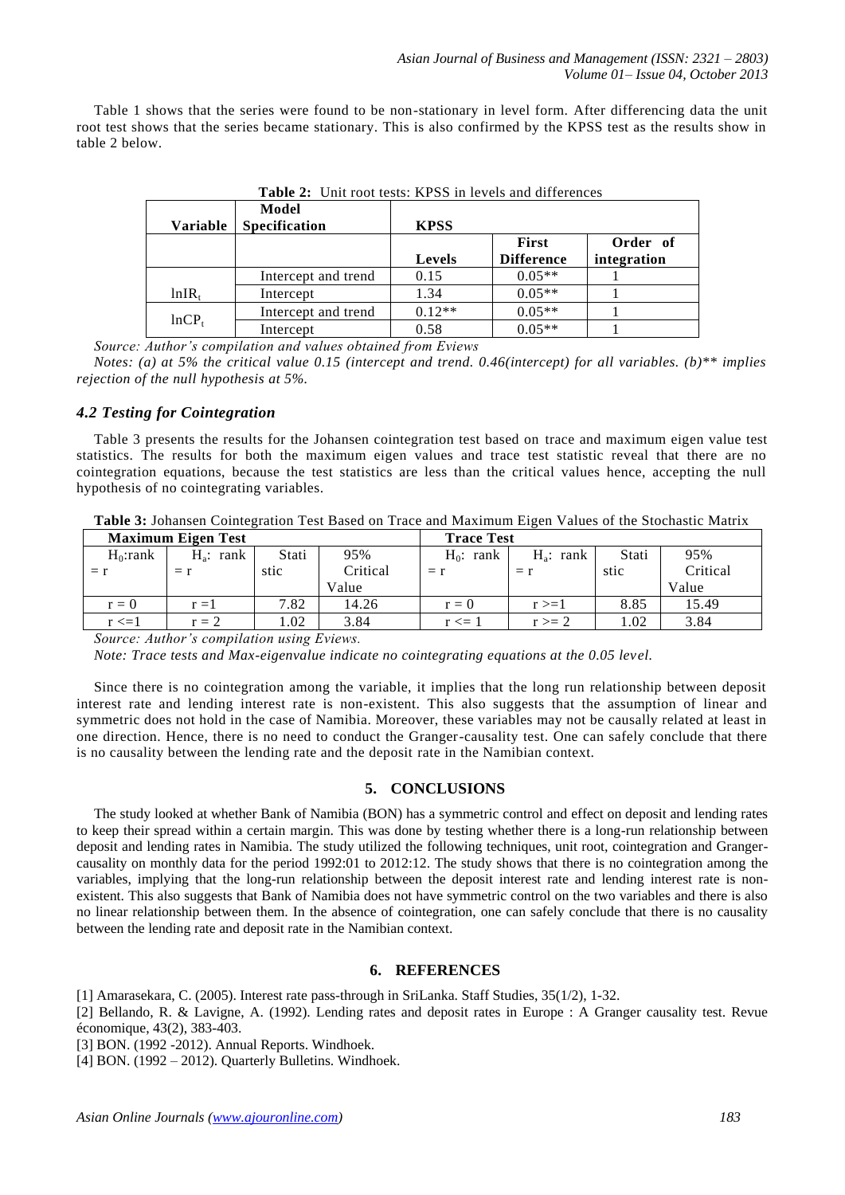Table 1 shows that the series were found to be non-stationary in level form. After differencing data the unit root test shows that the series became stationary. This is also confirmed by the KPSS test as the results show in table 2 below.

| <b>Variable</b>   | Model<br><b>Specification</b> | <b>KPSS</b>   |                            |                         |
|-------------------|-------------------------------|---------------|----------------------------|-------------------------|
|                   |                               | <b>Levels</b> | First<br><b>Difference</b> | Order of<br>integration |
|                   | Intercept and trend           | 0.15          | $0.05**$                   |                         |
| lnIR <sub>t</sub> | Intercept                     | 1.34          | $0.05**$                   |                         |
| lnCP <sub>t</sub> | Intercept and trend           | $0.12**$      | $0.05**$                   |                         |
|                   | Intercept                     | 0.58          | $0.05**$                   |                         |

**Table 2:** Unit root tests: KPSS in levels and differences

*Source: Author's compilation and values obtained from Eviews Notes: (a) at 5% the critical value 0.15 (intercept and trend. 0.46(intercept) for all variables. (b)\*\* implies rejection of the null hypothesis at 5%.* 

## *4.2 Testing for Cointegration*

Table 3 presents the results for the Johansen cointegration test based on trace and maximum eigen value test statistics. The results for both the maximum eigen values and trace test statistic reveal that there are no cointegration equations, because the test statistics are less than the critical values hence, accepting the null hypothesis of no cointegrating variables.

**Table 3:** Johansen Cointegration Test Based on Trace and Maximum Eigen Values of the Stochastic Matrix

| <b>Maximum Eigen Test</b> |              |       | <b>Trace Test</b> |              |              |       |          |
|---------------------------|--------------|-------|-------------------|--------------|--------------|-------|----------|
| $H_0:rank$                | $H_a$ : rank | Stati | 95%               | $H_0$ : rank | $H_a$ : rank | Stati | 95%      |
| $= r$                     | = r          | stic  | Critical          | $= r$        | $= r$        | stic  | Critical |
|                           |              |       | Value             |              |              |       | Value    |
| $r = 0$                   | $r = 1$      | 7.82  | 14.26             | $r = 0$      | $r>=1$       | 8.85  | 15.49    |
| $r \leq 1$                | $r = 2$      | .02   | 3.84              | $r \leq 1$   | $r \geq 2$   | 1.02  | 3.84     |

*Source: Author's compilation using Eviews.* 

*Note: Trace tests and Max-eigenvalue indicate no cointegrating equations at the 0.05 level.* 

Since there is no cointegration among the variable, it implies that the long run relationship between deposit interest rate and lending interest rate is non-existent. This also suggests that the assumption of linear and symmetric does not hold in the case of Namibia. Moreover, these variables may not be causally related at least in one direction. Hence, there is no need to conduct the Granger-causality test. One can safely conclude that there is no causality between the lending rate and the deposit rate in the Namibian context.

## **5. CONCLUSIONS**

The study looked at whether Bank of Namibia (BON) has a symmetric control and effect on deposit and lending rates to keep their spread within a certain margin. This was done by testing whether there is a long-run relationship between deposit and lending rates in Namibia. The study utilized the following techniques, unit root, cointegration and Grangercausality on monthly data for the period 1992:01 to 2012:12. The study shows that there is no cointegration among the variables, implying that the long-run relationship between the deposit interest rate and lending interest rate is nonexistent. This also suggests that Bank of Namibia does not have symmetric control on the two variables and there is also no linear relationship between them. In the absence of cointegration, one can safely conclude that there is no causality between the lending rate and deposit rate in the Namibian context.

## **6. REFERENCES**

[1] Amarasekara, C. (2005). Interest rate pass-through in SriLanka. Staff Studies, 35(1/2), 1-32.

[2] Bellando, R. & Lavigne, A. (1992). Lending rates and deposit rates in Europe : A Granger causality test. Revue économique, 43(2), 383-403.

[3] BON. (1992 -2012). Annual Reports. Windhoek.

[4] BON. (1992 – 2012). Quarterly Bulletins. Windhoek.